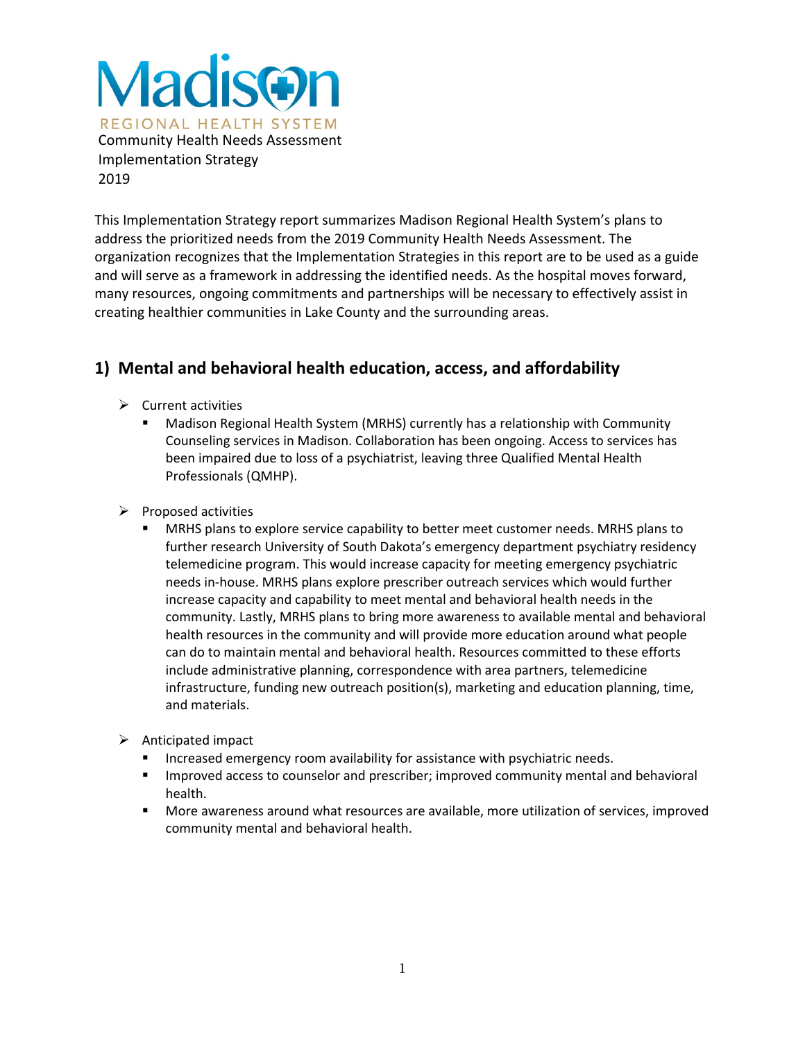

This Implementation Strategy report summarizes Madison Regional Health System's plans to address the prioritized needs from the 2019 Community Health Needs Assessment. The organization recognizes that the Implementation Strategies in this report are to be used as a guide and will serve as a framework in addressing the identified needs. As the hospital moves forward, many resources, ongoing commitments and partnerships will be necessary to effectively assist in creating healthier communities in Lake County and the surrounding areas.

# **1) Mental and behavioral health education, access, and affordability**

- $\triangleright$  Current activities
	- Madison Regional Health System (MRHS) currently has a relationship with Community Counseling services in Madison. Collaboration has been ongoing. Access to services has been impaired due to loss of a psychiatrist, leaving three Qualified Mental Health Professionals (QMHP).
- $\triangleright$  Proposed activities
	- MRHS plans to explore service capability to better meet customer needs. MRHS plans to further research University of South Dakota's emergency department psychiatry residency telemedicine program. This would increase capacity for meeting emergency psychiatric needs in-house. MRHS plans explore prescriber outreach services which would further increase capacity and capability to meet mental and behavioral health needs in the community. Lastly, MRHS plans to bring more awareness to available mental and behavioral health resources in the community and will provide more education around what people can do to maintain mental and behavioral health. Resources committed to these efforts include administrative planning, correspondence with area partners, telemedicine infrastructure, funding new outreach position(s), marketing and education planning, time, and materials.
- $\triangleright$  Anticipated impact
	- Increased emergency room availability for assistance with psychiatric needs.
	- **IMPROVED ACCESS TO COUNSELOT AND PRESCRIPTS** improved community mental and behavioral health.
	- More awareness around what resources are available, more utilization of services, improved community mental and behavioral health.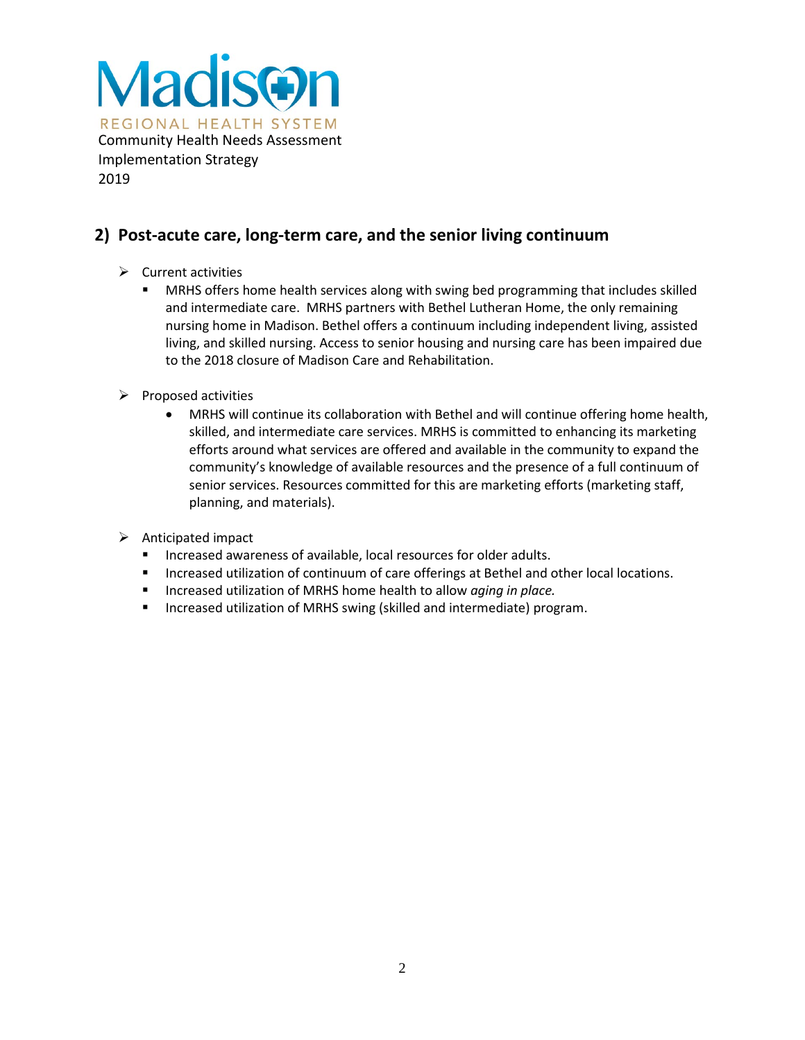

# **2) Post-acute care, long-term care, and the senior living continuum**

- $\triangleright$  Current activities
	- MRHS offers home health services along with swing bed programming that includes skilled and intermediate care. MRHS partners with Bethel Lutheran Home, the only remaining nursing home in Madison. Bethel offers a continuum including independent living, assisted living, and skilled nursing. Access to senior housing and nursing care has been impaired due to the 2018 closure of Madison Care and Rehabilitation.
- $\triangleright$  Proposed activities
	- MRHS will continue its collaboration with Bethel and will continue offering home health, skilled, and intermediate care services. MRHS is committed to enhancing its marketing efforts around what services are offered and available in the community to expand the community's knowledge of available resources and the presence of a full continuum of senior services. Resources committed for this are marketing efforts (marketing staff, planning, and materials).
- $\triangleright$  Anticipated impact
	- **Increased awareness of available, local resources for older adults.**
	- **Increased utilization of continuum of care offerings at Bethel and other local locations.**
	- Increased utilization of MRHS home health to allow *aging in place.*
	- **Increased utilization of MRHS swing (skilled and intermediate) program.**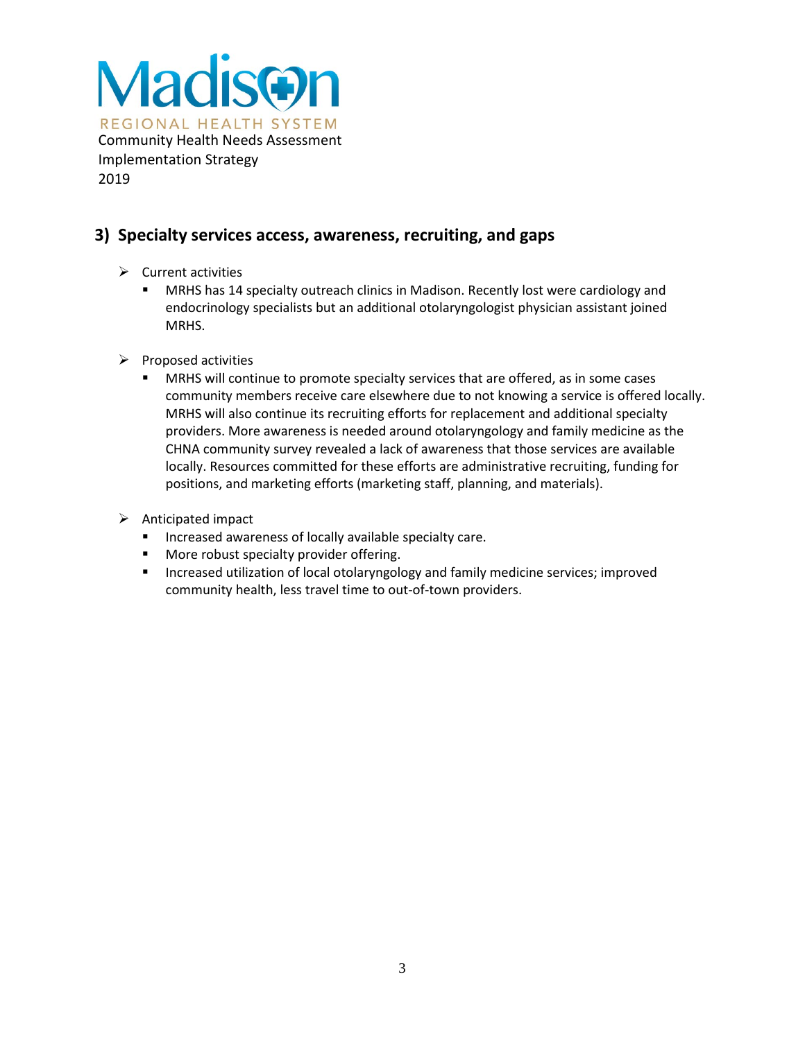

# **3) Specialty services access, awareness, recruiting, and gaps**

- $\triangleright$  Current activities
	- MRHS has 14 specialty outreach clinics in Madison. Recently lost were cardiology and endocrinology specialists but an additional otolaryngologist physician assistant joined MRHS.
- $\triangleright$  Proposed activities
	- MRHS will continue to promote specialty services that are offered, as in some cases community members receive care elsewhere due to not knowing a service is offered locally. MRHS will also continue its recruiting efforts for replacement and additional specialty providers. More awareness is needed around otolaryngology and family medicine as the CHNA community survey revealed a lack of awareness that those services are available locally. Resources committed for these efforts are administrative recruiting, funding for positions, and marketing efforts (marketing staff, planning, and materials).
- $\triangleright$  Anticipated impact
	- **Increased awareness of locally available specialty care.**
	- **More robust specialty provider offering.**
	- **Increased utilization of local otolaryngology and family medicine services; improved** community health, less travel time to out-of-town providers.